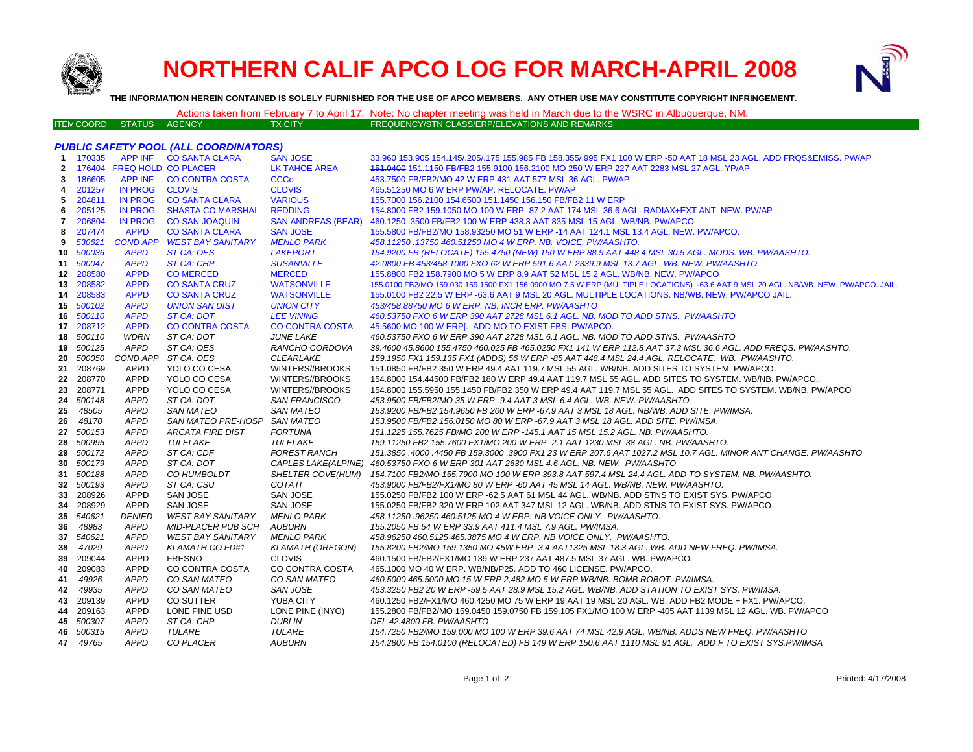

# **NORTHERN CALIF APCO LOG FOR MARCH-APRIL 2008**



**THE INFORMATION HEREIN CONTAINED IS SOLELY FURNISHED FOR THE USE OF APCO MEMBERS. ANY OTHER USE MAY CONSTITUTE COPYRIGHT INFRINGEMENT.**

ITEM COORD STATUS AGENCY TX CITY FREQUENCY/STN CLASS/ERP/ELEVATIONS AND REMARKS

## Actions taken from February 7 to April 17. Note: No chapter meeting was held in March due to the WSRC in Albuquerque, NM.<br>FREQUENCY/STN CLASS/ERP/ELEVATIONS AND REMARKS

#### *PUBLIC SAFETY POOL (ALL COORDINATORS)*

|                |           |                            | <u> - - - 10 1000 - - - 10 1000 - 10</u> | . <i>.</i>                |                                                                                                                                    |
|----------------|-----------|----------------------------|------------------------------------------|---------------------------|------------------------------------------------------------------------------------------------------------------------------------|
|                |           |                            | 1 170335 APP INF CO SANTA CLARA          | <b>SAN JOSE</b>           | 33.960 153.905 154.145/.205/.175 155.985 FB 158.355/.995 FX1 100 W ERP -50 AAT 18 MSL 23 AGL. ADD FRQS&EMISS. PW/AP                |
| $\overline{2}$ |           | 176404 FREQ HOLD CO PLACER |                                          | LK TAHOE AREA             | 151.0400 151.1150 FB/FB2 155.9100 156.2100 MO 250 W ERP 227 AAT 2283 MSL 27 AGL. YP/AP                                             |
| 3              | 186605    |                            | APP INF CO CONTRA COSTA                  | <b>CCCo</b>               | 453.7500 FB/FB2/MO 42 W ERP 431 AAT 577 MSL 36 AGL. PW/AP.                                                                         |
| 4              | 201257    | <b>IN PROG</b>             | <b>CLOVIS</b>                            | <b>CLOVIS</b>             | 465.51250 MO 6 W ERP PW/AP, RELOCATE, PW/AP                                                                                        |
| 5              | 204811    | <b>IN PROG</b>             | <b>CO SANTA CLARA</b>                    | <b>VARIOUS</b>            | 155.7000 156.2100 154.6500 151.1450 156.150 FB/FB2 11 W ERP                                                                        |
| 6              | 205125    | <b>IN PROG</b>             | <b>SHASTA CO MARSHAL</b>                 | <b>REDDING</b>            | 154,8000 FB2 159,1050 MO 100 W ERP -87,2 AAT 174 MSL 36.6 AGL, RADIAX+EXT ANT, NEW, PW/AP                                          |
| 7              | 206804    | <b>IN PROG</b>             | <b>CO SAN JOAQUIN</b>                    | <b>SAN ANDREAS (BEAR)</b> | 460.1250 .3500 FB/FB2 100 W ERP 438.3 AAT 835 MSL 15 AGL. WB/NB. PW/APCO                                                           |
| 8              | 207474    | <b>APPD</b>                | <b>CO SANTA CLARA</b>                    | <b>SAN JOSE</b>           | 155.5800 FB/FB2/MO 158.93250 MO 51 W ERP -14 AAT 124.1 MSL 13.4 AGL. NEW. PW/APCO.                                                 |
| 9              | 530621    |                            | COND APP WEST BAY SANITARY               | <b>MENLO PARK</b>         | 458.11250.13750 460.51250 MO 4 W ERP. NB. VOICE. PW/AASHTO.                                                                        |
| 10             | 500036    | <b>APPD</b>                | ST CA: OES                               | <b>LAKEPORT</b>           | 154.9200 FB (RELOCATE) 155.4750 (NEW) 150 W ERP 88.9 AAT 448.4 MSL 30.5 AGL. MODS. WB. PW/AASHTO.                                  |
| 11             | 500047    | <b>APPD</b>                | <b>ST CA: CHP</b>                        | <b>SUSANVILLE</b>         | 42.0800 FB 453/458.1000 FXO 62 W ERP 591.6 AAT 2339.9 MSL 13.7 AGL. WB. NEW. PW/AASHTO.                                            |
| 12             | 208580    | <b>APPD</b>                | <b>CO MERCED</b>                         | <b>MERCED</b>             | 155.8800 FB2 158.7900 MO 5 W ERP 8.9 AAT 52 MSL 15.2 AGL. WB/NB. NEW. PW/APCO                                                      |
| 13             | 208582    | <b>APPD</b>                | <b>CO SANTA CRUZ</b>                     | <b>WATSONVILLE</b>        | 155.0100 FB2/MO 159.030 159.1500 FX1 156.0900 MO 7.5 W ERP (MULTIPLE LOCATIONS) -63.6 AAT 9 MSL 20 AGL. NB/WB. NEW. PW/APCO. JAIL. |
| 14             | 208583    | <b>APPD</b>                | <b>CO SANTA CRUZ</b>                     | <b>WATSONVILLE</b>        | 155.0100 FB2 22.5 W ERP -63.6 AAT 9 MSL 20 AGL. MULTIPLE LOCATIONS. NB/WB. NEW. PW/APCO JAIL.                                      |
| 15             | 500102    | <b>APPD</b>                | <b>UNION SAN DIST</b>                    | <b>UNION CITY</b>         | 453/458.88750 MO 6 W ERP. NB. INCR ERP. PW/AASHTO                                                                                  |
|                | 16 500110 | <b>APPD</b>                | ST CA: DOT                               | <b>LEE VINING</b>         | 460.53750 FXO 6 W ERP 390 AAT 2728 MSL 6.1 AGL. NB. MOD TO ADD STNS. PW/AASHTO                                                     |
|                | 17 208712 | <b>APPD</b>                | <b>CO CONTRA COSTA</b>                   | <b>CO CONTRA COSTA</b>    | 45.5600 MO 100 W ERP[. ADD MO TO EXIST FBS. PW/APCO.                                                                               |
|                | 18 500110 | <b>WDRN</b>                | ST CA: DOT                               | <b>JUNE LAKE</b>          | 460.53750 FXO 6 W ERP 390 AAT 2728 MSL 6.1 AGL. NB. MOD TO ADD STNS. PW/AASHTO                                                     |
|                | 19 500125 | <b>APPD</b>                | ST CA: OES                               | RANCHO CORDOVA            | 39.4600 45.8600 155.4750 460.025 FB 465.0250 FX1 141 W ERP 112.8 AAT 37.2 MSL 36.6 AGL. ADD FREQS. PW/AASHTO.                      |
| 20             | 500050    |                            | COND APP ST CA: OES                      | CLEARLAKE                 | 159.1950 FX1 159.135 FX1 (ADDS) 56 W ERP -85 AAT 448.4 MSL 24.4 AGL. RELOCATE. WB. PW/AASHTO.                                      |
| 21             | 208769    | <b>APPD</b>                | YOLO CO CESA                             | WINTERS//BROOKS           | 151.0850 FB/FB2 350 W ERP 49.4 AAT 119.7 MSL 55 AGL. WB/NB. ADD SITES TO SYSTEM. PW/APCO.                                          |
|                | 22 208770 | <b>APPD</b>                | YOLO CO CESA                             | WINTERS//BROOKS           | 154.8000 154.44500 FB/FB2 180 W ERP 49.4 AAT 119.7 MSL 55 AGL. ADD SITES TO SYSTEM. WB/NB. PW/APCO.                                |
| 23             | 208771    | <b>APPD</b>                | YOLO CO CESA                             | WINTERS//BROOKS           | 154.8000 155.5950 155.1450 FB/FB2 350 W ERP 49.4 AAT 119.7 MSL 55 AGL. ADD SITES TO SYSTEM. WB/NB. PW/APCO                         |
| 24             | 500148    | <b>APPD</b>                | ST CA: DOT                               | <b>SAN FRANCISCO</b>      | 453.9500 FB/FB2/MO 35 W ERP -9.4 AAT 3 MSL 6.4 AGL. WB. NEW. PW/AASHTO                                                             |
| 25             | 48505     | <b>APPD</b>                | <b>SAN MATEO</b>                         | <b>SAN MATEO</b>          | 153.9200 FB/FB2 154.9650 FB 200 W ERP -67.9 AAT 3 MSL 18 AGL. NB/WB. ADD SITE. PW/IMSA.                                            |
| 26             | 48170     | <b>APPD</b>                | SAN MATEO PRE-HOSP SAN MATEO             |                           | 153.9500 FB/FB2 156.0150 MO 80 W ERP -67.9 AAT 3 MSL 18 AGL. ADD SITE. PW/IMSA.                                                    |
|                | 27 500153 | <b>APPD</b>                | <b>ARCATA FIRE DIST</b>                  | <b>FORTUNA</b>            | 151.1225 155.7625 FB/MO 200 W ERP -145.1 AAT 15 MSL 15.2 AGL. NB. PW/AASHTO.                                                       |
| 28.            | 500995    | <b>APPD</b>                | TULELAKE                                 | TULELAKE                  | 159.11250 FB2 155.7600 FX1/MO 200 W ERP -2.1 AAT 1230 MSL 38 AGL. NB. PW/AASHTO.                                                   |
| 29             | 500172    | <b>APPD</b>                | ST CA: CDF                               | <b>FOREST RANCH</b>       | 151.3850 .4000 .4450 FB 159.3000 .3900 FX1 23 W ERP 207.6 AAT 1027.2 MSL 10.7 AGL. MINOR ANT CHANGE. PW/AASHTO                     |
| 30             | 500179    | APPD                       | ST CA: DOT                               | CAPLES LAKE(ALPINE)       | 460.53750 FXO 6 W ERP 301 AAT 2630 MSL 4.6 AGL. NB. NEW. PW/AASHTO                                                                 |
| 31             | 500188    | <b>APPD</b>                | CO HUMBOLDT                              | SHELTER COVE(HUM)         | 154.7100 FB2/MO 155.7900 MO 100 W ERP 393.8 AAT 597.4 MSL 24.4 AGL. ADD TO SYSTEM. NB. PW/AASHTO.                                  |
|                | 32 500193 | <b>APPD</b>                | ST CA: CSU                               | COTATI                    | 453.9000 FB/FB2/FX1/MO 80 W ERP -60 AAT 45 MSL 14 AGL. WB/NB. NEW. PW/AASHTO.                                                      |
| 33             | 208926    | <b>APPD</b>                | SAN JOSE                                 | SAN JOSE                  | 155.0250 FB/FB2 100 W ERP -62.5 AAT 61 MSL 44 AGL. WB/NB. ADD STNS TO EXIST SYS. PW/APCO                                           |
| 34             | 208929    | APPD                       | SAN JOSE                                 | <b>SAN JOSE</b>           | 155.0250 FB/FB2 320 W ERP 102 AAT 347 MSL 12 AGL. WB/NB. ADD STNS TO EXIST SYS. PW/APCO                                            |
| 35             | 540621    | <b>DENIED</b>              | <b>WEST BAY SANITARY</b>                 | <b>MENLO PARK</b>         | 458.11250.96250 460.5125 MO 4 W ERP. NB VOICE ONLY. PW/AASHTO.                                                                     |
| 36             | 48983     | <b>APPD</b>                | MID-PLACER PUB SCH                       | AUBURN                    | 155,2050 FB 54 W ERP 33.9 AAT 411.4 MSL 7.9 AGL, PW/IMSA.                                                                          |
|                | 37 540621 | <b>APPD</b>                | <b>WEST BAY SANITARY</b>                 | <b>MENLO PARK</b>         | 458.96250 460.5125 465.3875 MO 4 W ERP. NB VOICE ONLY. PW/AASHTO.                                                                  |
| 38             | 47029     | <b>APPD</b>                | <b>KLAMATH CO FD#1</b>                   | <b>KLAMATH (OREGON)</b>   | 155.8200 FB2/MO 159.1350 MO 45W ERP -3.4 AAT1325 MSL 18.3 AGL. WB. ADD NEW FREQ. PW/IMSA.                                          |
| 39             | 209044    | <b>APPD</b>                | <b>FRESNO</b>                            | <b>CLOVIS</b>             | 460.1500 FB/FB2/FX1/MO 139 W ERP 237 AAT 487.5 MSL 37 AGL. WB. PW/APCO.                                                            |
| 40             | 209083    | <b>APPD</b>                | CO CONTRA COSTA                          | CO CONTRA COSTA           | 465.1000 MO 40 W ERP. WB/NB/P25. ADD TO 460 LICENSE. PW/APCO.                                                                      |
| 41             | 49926     | <b>APPD</b>                | CO SAN MATEO                             | CO SAN MATEO              | 460.5000 465.5000 MO 15 W ERP 2,482 MO 5 W ERP WB/NB. BOMB ROBOT. PW/IMSA.                                                         |
| 42             | 49935     | <b>APPD</b>                | CO SAN MATEO                             | SAN JOSE                  | 453.3250 FB2 20 W ERP -59.5 AAT 28.9 MSL 15.2 AGL. WB/NB. ADD STATION TO EXIST SYS. PW/IMSA.                                       |
| 43             | 209139    | <b>APPD</b>                | CO SUTTER                                | <b>YUBA CITY</b>          | 460.1250 FB2/FX1/MO 460.4250 MO 75 W ERP 19 AAT 19 MSL 20 AGL. WB. ADD FB2 MODE + FX1. PW/APCO.                                    |
|                | 209163    | <b>APPD</b>                | LONE PINE USD                            | LONE PINE (INYO)          | 155.2800 FB/FB2/MO 159.0450 159.0750 FB 159.105 FX1/MO 100 W ERP -405 AAT 1139 MSL 12 AGL. WB. PW/APCO                             |
| 44             | 500307    | <b>APPD</b>                | ST CA: CHP                               | <b>DUBLIN</b>             | DEL 42.4800 FB. PW/AASHTO                                                                                                          |
| 45             |           |                            |                                          |                           |                                                                                                                                    |
|                | 46 500315 | <b>APPD</b>                | TULARE                                   | TULARE                    | 154.7250 FB2/MO 159.000 MO 100 W ERP 39.6 AAT 74 MSL 42.9 AGL. WB/NB. ADDS NEW FREQ. PW/AASHTO                                     |
| 47             | 49765     | <b>APPD</b>                | <b>CO PLACER</b>                         | <b>AUBURN</b>             | 154.2800 FB 154.0100 (RELOCATED) FB 149 W ERP 150.6 AAT 1110 MSL 91 AGL. ADD F TO EXIST SYS.PW/IMSA                                |